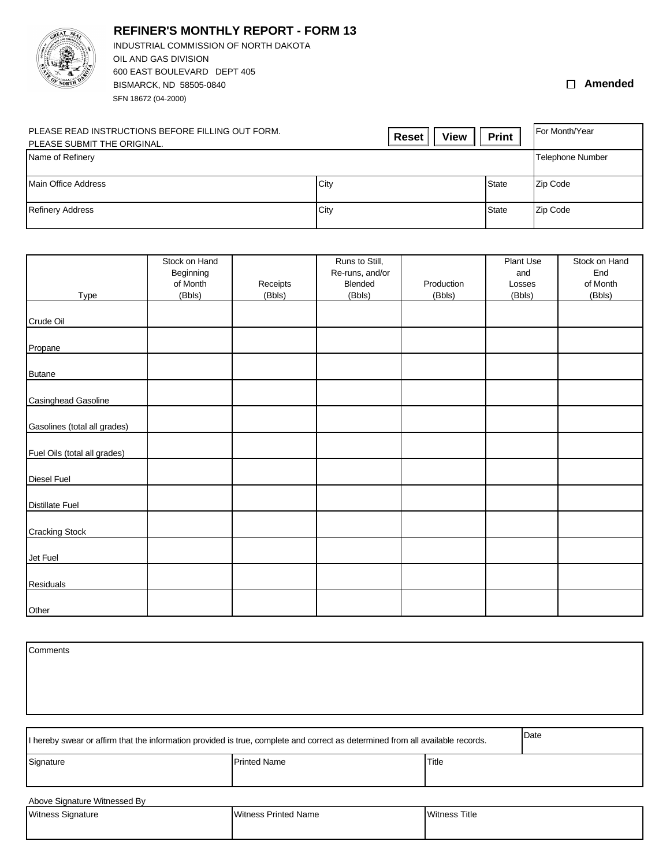

**REFINER'S MONTHLY REPORT - FORM 13**

SFN 18672 (04-2000) INDUSTRIAL COMMISSION OF NORTH DAKOTA OIL AND GAS DIVISION 600 EAST BOULEVARD DEPT 405 BISMARCK, ND 58505-0840

## **Amended**

| PLEASE READ INSTRUCTIONS BEFORE FILLING OUT FORM.<br>PLEASE SUBMIT THE ORIGINAL. | <b>View</b><br><b>Reset</b> | <b>Print</b> | For Month/Year          |
|----------------------------------------------------------------------------------|-----------------------------|--------------|-------------------------|
| Name of Refinery                                                                 |                             |              | <b>Telephone Number</b> |
| Main Office Address                                                              | City                        | <b>State</b> | Zip Code                |
| <b>Refinery Address</b>                                                          | City                        | <b>State</b> | Zip Code                |

|                              | Stock on Hand |          | Runs to Still,  |            | Plant Use | Stock on Hand |
|------------------------------|---------------|----------|-----------------|------------|-----------|---------------|
|                              | Beginning     |          | Re-runs, and/or |            | and       | End           |
|                              | of Month      | Receipts | Blended         | Production | Losses    | of Month      |
| Type                         | (Bbls)        | (Bbls)   | (Bbls)          | (Bbls)     | (Bbls)    | (Bbls)        |
| Crude Oil                    |               |          |                 |            |           |               |
|                              |               |          |                 |            |           |               |
| Propane                      |               |          |                 |            |           |               |
| <b>Butane</b>                |               |          |                 |            |           |               |
|                              |               |          |                 |            |           |               |
| Casinghead Gasoline          |               |          |                 |            |           |               |
| Gasolines (total all grades) |               |          |                 |            |           |               |
|                              |               |          |                 |            |           |               |
| Fuel Oils (total all grades) |               |          |                 |            |           |               |
| Diesel Fuel                  |               |          |                 |            |           |               |
|                              |               |          |                 |            |           |               |
| <b>Distillate Fuel</b>       |               |          |                 |            |           |               |
| <b>Cracking Stock</b>        |               |          |                 |            |           |               |
|                              |               |          |                 |            |           |               |
| Jet Fuel                     |               |          |                 |            |           |               |
|                              |               |          |                 |            |           |               |
| Residuals                    |               |          |                 |            |           |               |
| Other                        |               |          |                 |            |           |               |

| Comments                                                                                                                               |                             |                      |  |  |
|----------------------------------------------------------------------------------------------------------------------------------------|-----------------------------|----------------------|--|--|
|                                                                                                                                        |                             |                      |  |  |
|                                                                                                                                        |                             |                      |  |  |
| Date<br>I hereby swear or affirm that the information provided is true, complete and correct as determined from all available records. |                             |                      |  |  |
| Signature                                                                                                                              | <b>Printed Name</b>         | Title                |  |  |
| Above Signature Witnessed By                                                                                                           |                             |                      |  |  |
| <b>Witness Signature</b>                                                                                                               | <b>Witness Printed Name</b> | <b>Witness Title</b> |  |  |